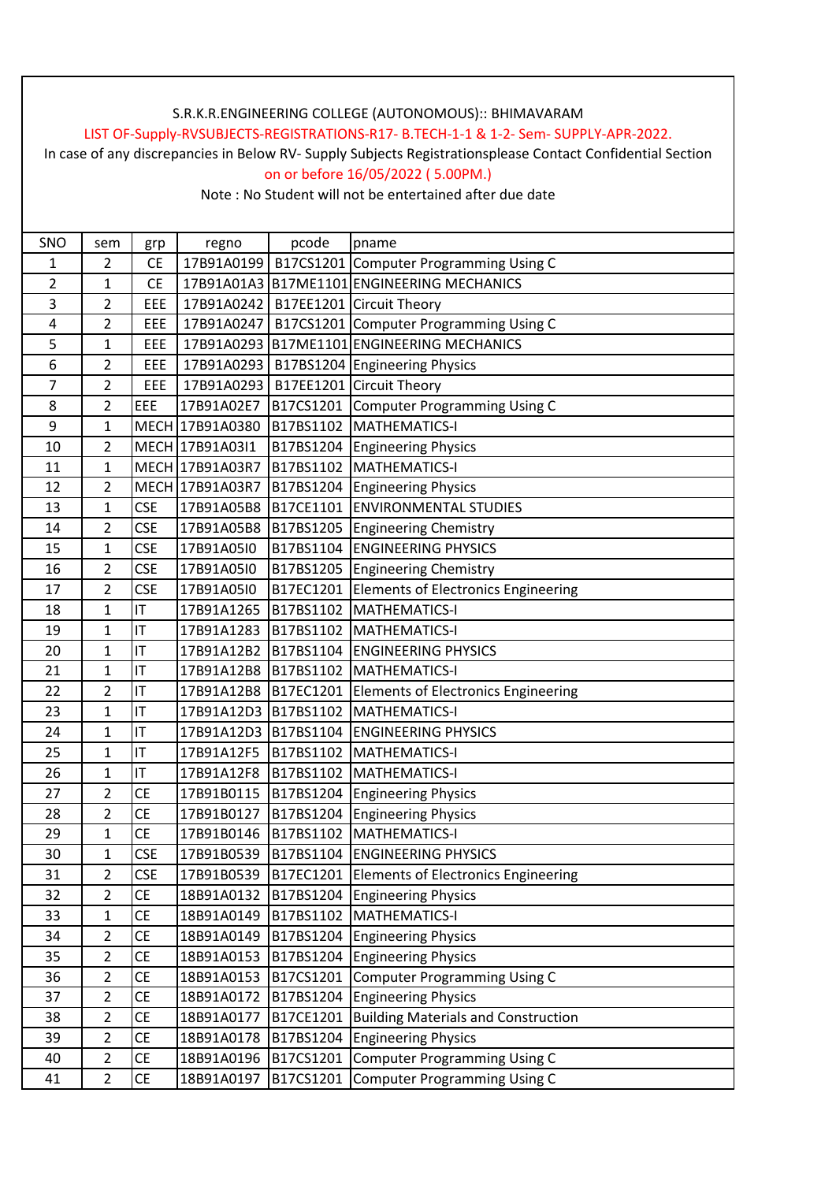## S.R.K.R.ENGINEERING COLLEGE (AUTONOMOUS):: BHIMAVARAM

#### LIST OF-Supply-RVSUBJECTS-REGISTRATIONS-R17- B.TECH-1-1 & 1-2- Sem- SUPPLY-APR-2022.

In case of any discrepancies in Below RV- Supply Subjects Registrationsplease Contact Confidential Section on or before 16/05/2022 ( 5.00PM.)

Note : No Student will not be entertained after due date

| SNO            | sem            | grp        | regno           | pcode     | pname                                         |
|----------------|----------------|------------|-----------------|-----------|-----------------------------------------------|
| 1              | 2              | <b>CE</b>  | 17B91A0199      |           | B17CS1201 Computer Programming Using C        |
| $\overline{2}$ | $\mathbf{1}$   | <b>CE</b>  |                 |           | 17B91A01A3 B17ME1101 ENGINEERING MECHANICS    |
| 3              | $\overline{2}$ | EEE        | 17B91A0242      |           | B17EE1201 Circuit Theory                      |
| 4              | 2              | EEE        | 17B91A0247      |           | B17CS1201 Computer Programming Using C        |
| 5              | $\mathbf{1}$   | EEE        |                 |           | 17B91A0293 B17ME1101 ENGINEERING MECHANICS    |
| 6              | $\overline{2}$ | EEE        | 17B91A0293      |           | B17BS1204 Engineering Physics                 |
| 7              | $\overline{2}$ | <b>EEE</b> | 17B91A0293      |           | B17EE1201 Circuit Theory                      |
| 8              | $\overline{2}$ | EEE        | 17B91A02E7      |           | B17CS1201 Computer Programming Using C        |
| 9              | 1              |            | MECH 17B91A0380 |           | B17BS1102 MATHEMATICS-I                       |
| 10             | $\overline{2}$ |            | MECH 17B91A03I1 |           | B17BS1204 Engineering Physics                 |
| 11             | $\mathbf{1}$   |            | MECH 17B91A03R7 |           | B17BS1102 MATHEMATICS-I                       |
| 12             | $\overline{2}$ |            | MECH 17B91A03R7 |           | B17BS1204 Engineering Physics                 |
| 13             | 1              | <b>CSE</b> | 17B91A05B8      |           | B17CE1101 ENVIRONMENTAL STUDIES               |
| 14             | $\overline{2}$ | <b>CSE</b> | 17B91A05B8      |           | B17BS1205 Engineering Chemistry               |
| 15             | $\mathbf{1}$   | <b>CSE</b> | 17B91A05I0      |           | B17BS1104 ENGINEERING PHYSICS                 |
| 16             | 2              | <b>CSE</b> | 17B91A05I0      |           | B17BS1205 Engineering Chemistry               |
| 17             | $\overline{2}$ | <b>CSE</b> | 17B91A05I0      |           | B17EC1201 Elements of Electronics Engineering |
| 18             | 1              | IT         | 17B91A1265      |           | B17BS1102 MATHEMATICS-I                       |
| 19             | $\mathbf{1}$   | IT         | 17B91A1283      |           | B17BS1102 MATHEMATICS-I                       |
| 20             | $\mathbf{1}$   | IT         | 17B91A12B2      |           | B17BS1104 ENGINEERING PHYSICS                 |
| 21             | 1              | IT         | 17B91A12B8      |           | B17BS1102 MATHEMATICS-I                       |
| 22             | $\overline{2}$ | IT         | 17B91A12B8      |           | B17EC1201 Elements of Electronics Engineering |
| 23             | 1              | IT         |                 |           | 17B91A12D3 B17BS1102 MATHEMATICS-I            |
| 24             | $\mathbf{1}$   | IT         |                 |           | 17B91A12D3 B17BS1104 ENGINEERING PHYSICS      |
| 25             | 1              | IT         | 17B91A12F5      |           | B17BS1102 MATHEMATICS-I                       |
| 26             | 1              | IT         | 17B91A12F8      |           | B17BS1102 MATHEMATICS-I                       |
| 27             | $\overline{2}$ | <b>CE</b>  | 17B91B0115      |           | B17BS1204 Engineering Physics                 |
| 28             | 2              | <b>CE</b>  | 17B91B0127      |           | B17BS1204 Engineering Physics                 |
| 29             | 1              | <b>CE</b>  | 17B91B0146      |           | B17BS1102 MATHEMATICS-I                       |
| 30             | 1              | <b>CSE</b> | 17B91B0539      |           | B17BS1104 ENGINEERING PHYSICS                 |
| 31             | $\overline{2}$ | <b>CSE</b> | 17B91B0539      |           | B17EC1201 Elements of Electronics Engineering |
| 32             | $\overline{2}$ | CE         | 18B91A0132      | B17BS1204 | <b>Engineering Physics</b>                    |
| 33             | $\mathbf{1}$   | <b>CE</b>  | 18B91A0149      | B17BS1102 | MATHEMATICS-I                                 |
| 34             | $\overline{2}$ | <b>CE</b>  | 18B91A0149      |           | B17BS1204 Engineering Physics                 |
| 35             | $\overline{2}$ | <b>CE</b>  | 18B91A0153      | B17BS1204 | <b>Engineering Physics</b>                    |
| 36             | $\overline{2}$ | <b>CE</b>  | 18B91A0153      | B17CS1201 | Computer Programming Using C                  |
| 37             | $\overline{2}$ | <b>CE</b>  | 18B91A0172      | B17BS1204 | <b>Engineering Physics</b>                    |
| 38             | $\overline{2}$ | CE         | 18B91A0177      | B17CE1201 | <b>Building Materials and Construction</b>    |
| 39             | $\overline{2}$ | CE         | 18B91A0178      | B17BS1204 | <b>Engineering Physics</b>                    |
| 40             | $\overline{2}$ | <b>CE</b>  | 18B91A0196      | B17CS1201 | <b>Computer Programming Using C</b>           |
| 41             | $\overline{2}$ | <b>CE</b>  | 18B91A0197      | B17CS1201 | Computer Programming Using C                  |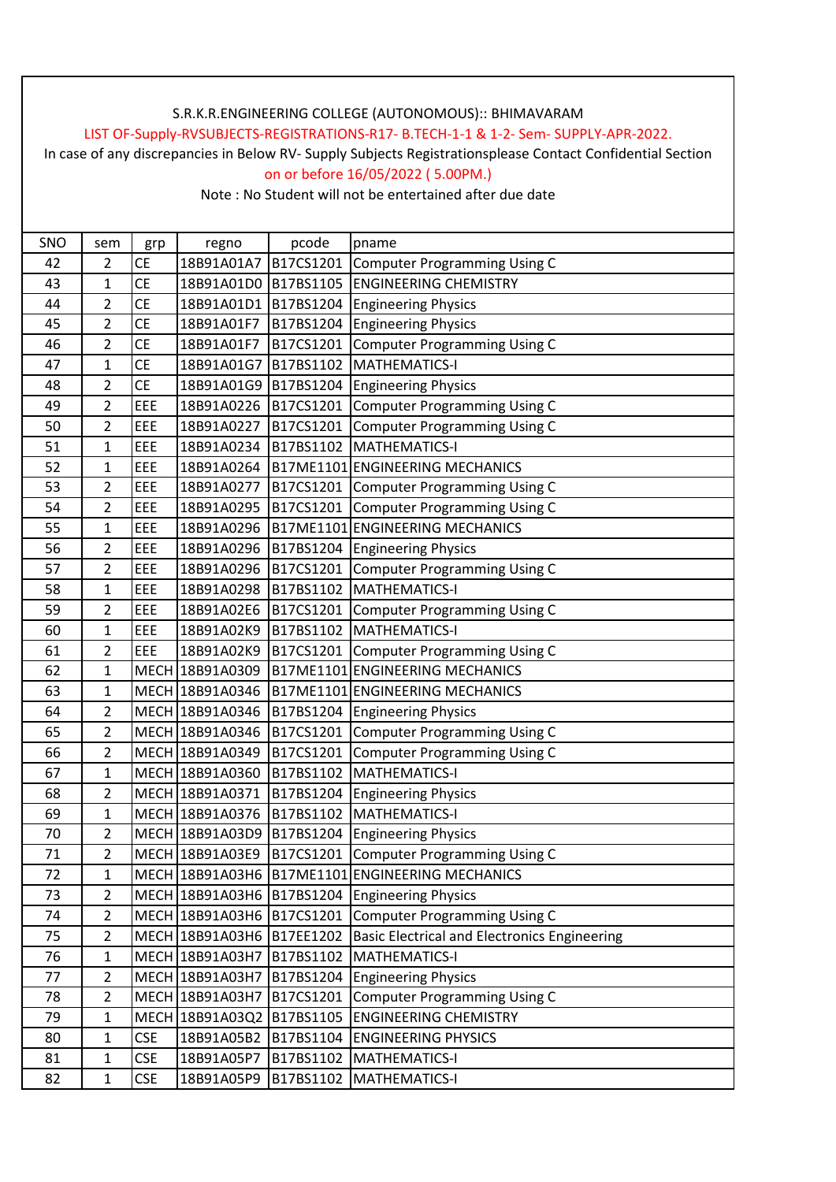### S.R.K.R.ENGINEERING COLLEGE (AUTONOMOUS):: BHIMAVARAM

#### LIST OF-Supply-RVSUBJECTS-REGISTRATIONS-R17- B.TECH-1-1 & 1-2- Sem- SUPPLY-APR-2022.

In case of any discrepancies in Below RV- Supply Subjects Registrationsplease Contact Confidential Section on or before 16/05/2022 ( 5.00PM.)

Note : No Student will not be entertained after due date

| SNO | sem            | grp        | regno                     | pcode     | pname                                           |
|-----|----------------|------------|---------------------------|-----------|-------------------------------------------------|
| 42  | $\overline{2}$ | <b>CE</b>  | 18B91A01A7                | B17CS1201 | Computer Programming Using C                    |
| 43  | 1              | <b>CE</b>  | 18B91A01D0                | B17BS1105 | <b>ENGINEERING CHEMISTRY</b>                    |
| 44  | $\overline{2}$ | <b>CE</b>  | 18B91A01D1                | B17BS1204 | <b>Engineering Physics</b>                      |
| 45  | 2              | <b>CE</b>  | 18B91A01F7                | B17BS1204 | <b>Engineering Physics</b>                      |
| 46  | $\overline{2}$ | CE         | 18B91A01F7                | B17CS1201 | <b>Computer Programming Using C</b>             |
| 47  | 1              | CE         | 18B91A01G7                | B17BS1102 | MATHEMATICS-I                                   |
| 48  | $\overline{2}$ | <b>CE</b>  | 18B91A01G9 B17BS1204      |           | <b>Engineering Physics</b>                      |
| 49  | 2              | EEE        | 18B91A0226                |           | B17CS1201 Computer Programming Using C          |
| 50  | $\overline{2}$ | EEE        | 18B91A0227                | B17CS1201 | <b>Computer Programming Using C</b>             |
| 51  | $\mathbf{1}$   | EEE        | 18B91A0234                |           | B17BS1102 MATHEMATICS-I                         |
| 52  | $\mathbf{1}$   | EEE        | 18B91A0264                |           | B17ME1101 ENGINEERING MECHANICS                 |
| 53  | $\overline{2}$ | EEE        | 18B91A0277                |           | B17CS1201 Computer Programming Using C          |
| 54  | $\overline{2}$ | EEE        | 18B91A0295                |           | B17CS1201 Computer Programming Using C          |
| 55  | 1              | EEE        | 18B91A0296                |           | B17ME1101 ENGINEERING MECHANICS                 |
| 56  | $\overline{2}$ | EEE        | 18B91A0296                |           | B17BS1204 Engineering Physics                   |
| 57  | 2              | EEE        | 18B91A0296                | B17CS1201 | <b>Computer Programming Using C</b>             |
| 58  | $\mathbf{1}$   | EEE        | 18B91A0298                | B17BS1102 | MATHEMATICS-I                                   |
| 59  | $\overline{2}$ | EEE        | 18B91A02E6                |           | B17CS1201 Computer Programming Using C          |
| 60  | 1              | EEE        | 18B91A02K9                |           | B17BS1102 MATHEMATICS-I                         |
| 61  | $\overline{2}$ | EEE        | 18B91A02K9                |           | B17CS1201 Computer Programming Using C          |
| 62  | 1              |            | MECH 18B91A0309           |           | B17ME1101 ENGINEERING MECHANICS                 |
| 63  | 1              |            | MECH 18B91A0346           |           | B17ME1101 ENGINEERING MECHANICS                 |
| 64  | 2              |            | MECH 18B91A0346           |           | B17BS1204 Engineering Physics                   |
| 65  | $\overline{2}$ |            | MECH 18B91A0346           |           | B17CS1201 Computer Programming Using C          |
| 66  | $\overline{2}$ |            | MECH 18B91A0349           | B17CS1201 | <b>Computer Programming Using C</b>             |
| 67  | $\mathbf 1$    |            | MECH 18B91A0360           | B17BS1102 | MATHEMATICS-I                                   |
| 68  | 2              |            | MECH 18B91A0371           |           | B17BS1204 Engineering Physics                   |
| 69  | 1              |            | MECH 18B91A0376           | B17BS1102 | MATHEMATICS-I                                   |
| 70  | $\overline{2}$ |            | MECH 18B91A03D9 B17BS1204 |           | <b>Engineering Physics</b>                      |
| 71  | 2              |            | MECH 18B91A03E9           | B17CS1201 | Computer Programming Using C                    |
| 72  | 1              |            |                           |           | MECH 18B91A03H6 B17ME1101 ENGINEERING MECHANICS |
| 73  | $\overline{2}$ |            |                           |           | MECH 18B91A03H6 B17BS1204 Engineering Physics   |
| 74  | $\overline{2}$ |            | MECH 18B91A03H6           |           | B17CS1201 Computer Programming Using C          |
| 75  | $\overline{2}$ |            | MECH 18B91A03H6           | B17EE1202 | Basic Electrical and Electronics Engineering    |
| 76  | 1              |            | MECH 18B91A03H7           | B17BS1102 | <b>MATHEMATICS-I</b>                            |
| 77  | $\overline{2}$ |            | MECH 18B91A03H7           |           | B17BS1204 Engineering Physics                   |
| 78  | $\overline{2}$ |            | MECH 18B91A03H7           | B17CS1201 | <b>Computer Programming Using C</b>             |
| 79  | 1              |            | MECH 18B91A03Q2           | B17BS1105 | <b>ENGINEERING CHEMISTRY</b>                    |
| 80  | $\mathbf{1}$   | <b>CSE</b> | 18B91A05B2                | B17BS1104 | <b>ENGINEERING PHYSICS</b>                      |
| 81  | 1              | <b>CSE</b> | 18B91A05P7                |           | B17BS1102   MATHEMATICS-I                       |
| 82  | $\mathbf{1}$   | <b>CSE</b> | 18B91A05P9                |           | B17BS1102 MATHEMATICS-I                         |